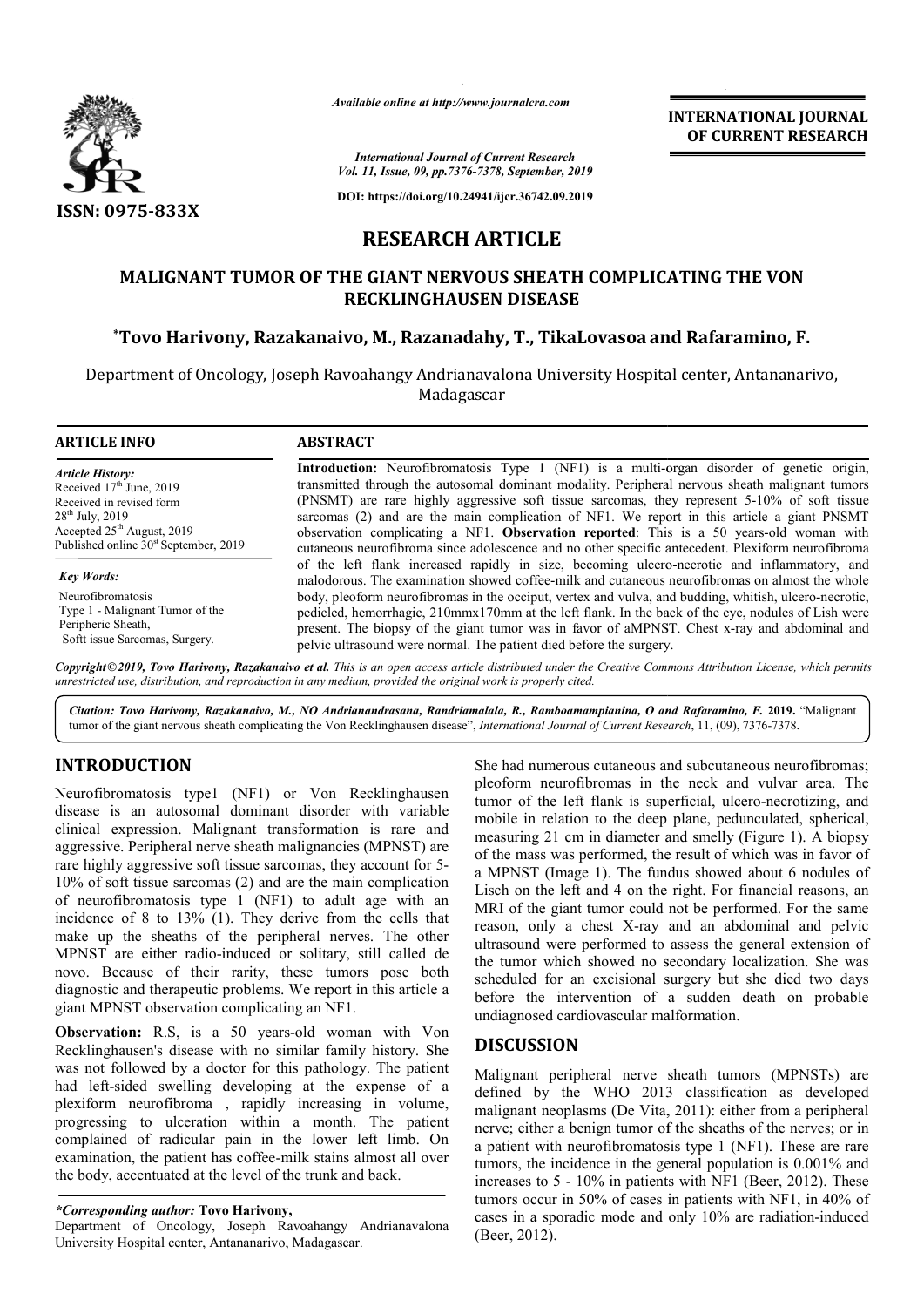

*Available online at http://www.journalcra.com*

**INTERNATIONAL JOURNAL OF CURRENT RESEARCH**

*International Journal of Current Research Vol. 11, Issue, 09, pp.7376-7378, September, 2019*

**DOI: https://doi.org/10.24941/ijcr.36742.09.2019**

# **RESEARCH ARTICLE**

## **MALIGNANT TUMOR OF THE GIANT NERVOUS SHEATH COMPLICATING THE VON RECKLINGHAUSEN DISEASE**

# **\*Tovo Harivony, Razakanaivo, M., Razanadahy, T., TikaLovasoa and Rafaramino Rafaramino, F.**

Department of Oncology, Joseph Ravoahangy Andrianavalona University Hospital center, Antananarivo, Madagascar

**ARTICLE INFO ABSTRACT Introduction:** Neurofibromatosis Type 1 (NF1) is a multi-organ disorder of genetic origin,

*Article History:* Received 17<sup>th</sup> June, 2019 Received in revised form 28th July, 2019 Accepted 25<sup>th</sup> August, 2019 Published online 30<sup>st</sup> September, 2019

*Key Words:* Neurofibromatosis Type 1 - Malignant Tumor of the Peripheric Sheath Softt issue Sarcomas, Surgery.

transmitted through the autosomal dominant modality. Peripheral nervous sheath malignant tumors Introduction: Neurofibromatosis Type 1 (NF1) is a multi-organ disorder of genetic origin, transmitted through the autosomal dominant modality. Peripheral nervous sheath malignant tumors (PNSMT) are rare highly aggressive s sarcomas (2) and are the main complication of NF1. We report in this article a giant PNSMT sarcomas (2) and are the main complication of NF1. We report in this article a giant PNSMT observation complicating a NF1. **Observation reported**: This is a 50 years-old woman with cutaneous neurofibroma since adolescence and no other specific antecedent. Plexiform neurofibroma of the left flank increased rapidly in size, becoming ulcero-necrotic and inflammatory, and malodorous. The examination showed coffee-milk and cutaneous neurofibromas on almost the whole malodorous. The examination showed coffee-milk and cutaneous neurofibromas on almost the whole body, pleoform neurofibromas in the occiput, vertex and vulva, and budding, whitish, ulcero-necrotic, pedicled, hemorrhagic, 210mmx170mm at the left flank. In the back of the eye, nodules of Lish were present. The biopsy of the giant tumor was in favor of aMPNST. Chest x-ray and abdominal and pelvic ultrasound were normal. The patient died before the surgery.

Copyright©2019, Tovo Harivony, Razakanaivo et al. This is an open access article distributed under the Creative Commons Attribution License, which permits *unrestricted use, distribution, and reproduction in any medium, provided the original work is properly cited.*

Citation: Tovo Harivony, Razakanaivo, M., NO Andrianandrasana, Randriamalala, R., Ramboamampianina, O and Rafaramino, F. 2019. "Malignant tumor of the giant nervous sheath complicating the Von Recklinghausen disease disease", *International Journal of Current Research* , 11, (09), 7376-7378.

## **INTRODUCTION**

Neurofibromatosis type1 (NF1) or Von Recklinghausen disease is an autosomal dominant disorder with variable clinical expression. Malignant transformation is rare and aggressive. Peripheral nerve sheath malignancies (MPNST) are rare highly aggressive soft tissue sarcomas, they account for 5 5- 10% of soft tissue sarcomas (2) and are the main complication of neurofibromatosis type 1 (NF1) to adult age with an incidence of  $8$  to  $13\%$  (1). They derive from the cells that make up the sheaths of the peripheral nerves. The other MPNST are either radio-induced or solitary, still called de novo. Because of their rarity, these tumors pose both diagnostic and therapeutic problems. We report in this article a giant MPNST observation complicating an NF1.

**Observation:** R.S, is a 50 years-old woman with Von Recklinghausen's disease with no similar family history. She was not followed by a doctor for this pathology. The patient MPNST are either radio-induced or solitary, still called de<br>novo. Because of their rarity, these tumors pose both<br>diagnostic and therapeutic problems. We report in this article a<br>giant MPNST observation complicating an NF1 plexiform neurofibroma , rapidly increasing in volume, progressing to ulceration within a month. The patient complained of radicular pain in the lower left limb. On examination, the patient has coffee-milk stains almost all over the body, accentuated at the level of the trunk and back. milk stains a<br>the trunk and<br>y,<br>Ravoahangy<br>0, Madagascar.

#### *\*Corresponding author:* **Tovo Harivony,**

Department of Oncology, Joseph Ravoahangy Andrianavalona University Hospital center, Antananarivo, Madagascar

She had numerous cutaneous and subcutaneous neurofibromas; pleoform neurofibromas in the neck and vulvar area. The tumor of the left flank is superficial, ulcero-necrotizing, and mobile in relation to the deep plane, pedunculated, spherical, measuring 21 cm in diameter and smelly (Figure 1). A biopsy of the mass was performed, the result of which was in favor of a MPNST (Image 1). The fundus showed about 6 nodules of Lisch on the left and 4 on the right. For financial reasons, an MRI of the giant tumor could not be performed. For the same reason, only a chest X-ray and an abdominal and pelvic ultrasound were performed to assess the general extension of the tumor which showed no secondary localization. She was scheduled for an excisional surgery but she died two days before the intervention of a sudden death on probable undiagnosed cardiovascular malformation. had numerous cutaneous and subcutaneous neurofibromas;<br>form neurofibromas in the neck and vulvar area. The<br>pr of the left flank is superficial, ulcero-necrotizing, and in relation to the deep plane, pedunculated, spherical, ng 21 cm in diameter and smelly (Figure 1). A biopsy nass was performed, the result of which was in favor of ST (Image 1). The fundus showed about 6 nodules of n the ultrasound were performed to assess the general extension of the tumor which showed no secondary localization. She was scheduled for an excisional surgery but she died two days before the intervention of a sudden death on

### **DISCUSSION**

Malignant peripheral nerve sheath tumors (MPNSTs) are defined by the WHO 2013 classification as developed malignant neoplasms (De Vita, 2011 , 2011): either from a peripheral nerve; either a benign tumor of the sheaths of the nerves; or in a patient with neurofibromatosis type 1 (NF1). These are rare tumors, the incidence in the general population is 0.001% and nerve; either a benign tumor of the sheaths of the nerves; or in a patient with neurofibromatosis type 1 (NF1). These are rare tumors, the incidence in the general population is 0.001% and increases to 5 - 10% in patients tumors occur in 50% of cases in patients with NF1, in 40% of cases in a sporadic mode and only 10% are radiation-induced (Beer, 2012).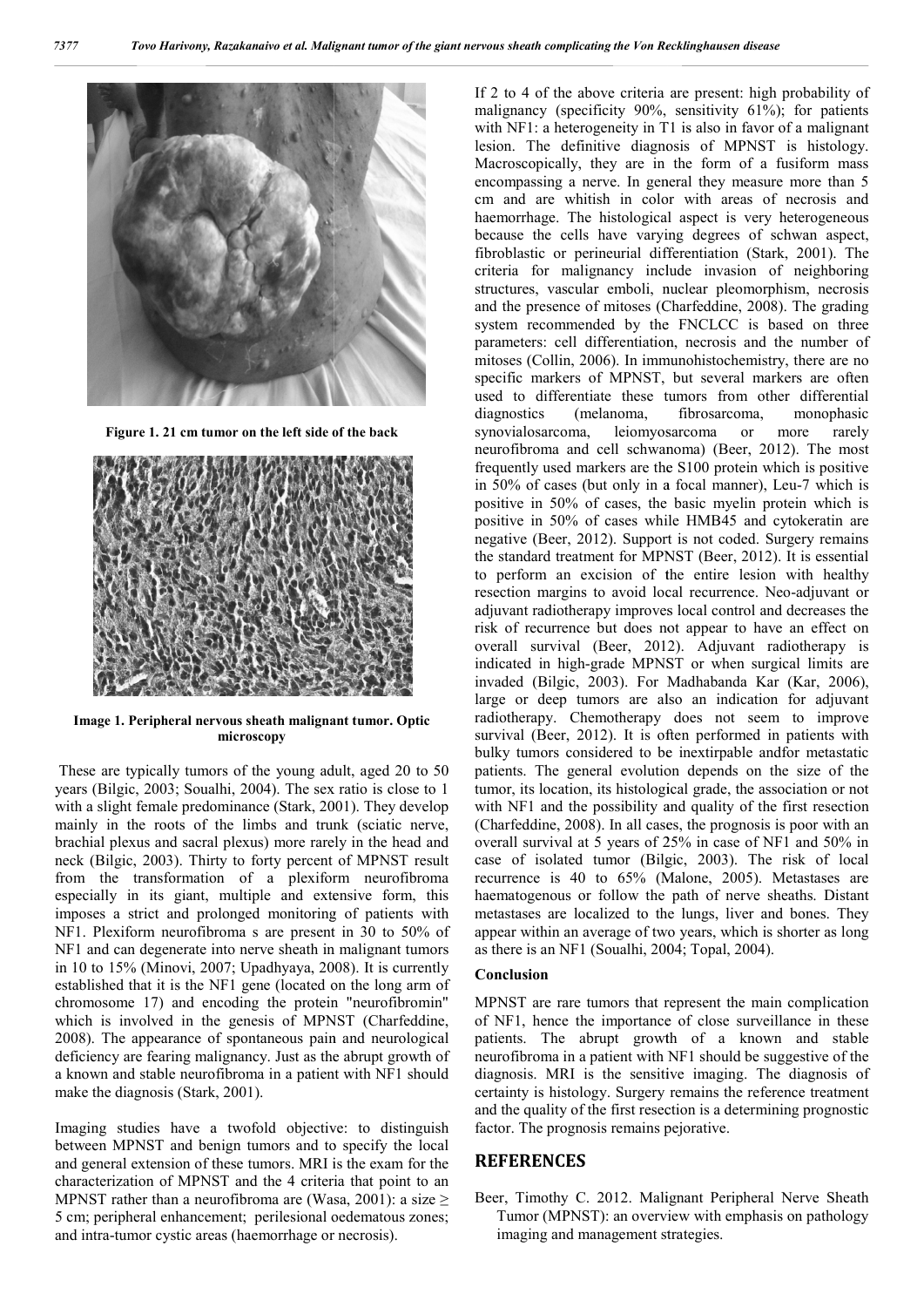

**Figure 1. 21 cm tumor on the left side of the back**



**Image 1. Peripheral nervous sheath malignant tumor. Optic microscopy**

These are typically tumors of the young adult, aged 20 to 50 years (Bilgic, 2003; Soualhi, 2004). The sex ratio is close to 1 years (Bilgic, 2003; Soualhi, 2004). The sex ratio is close to 1 with a slight female predominance (Stark, 2001). They develop mainly in the roots of the limbs and trunk (sciatic nerve, brachial plexus and sacral plexus) more rarely in the head and neck (Bilgic, 2003). Thirty to forty percent of MPNST result from the transformation of a plexiform neurofibroma especially in its giant, multiple and extensive form, this imposes a strict and prolonged monitoring of patients with NF1. Plexiform neurofibroma s are present in 30 to 50% of NF1 and can degenerate into nerve sheath in malignant tumors in 10 to 15% (Minovi, 2007; Upadhyaya, 2008). It is currently established that it is the NF1 gene (located on the long arm of chromosome 17) and encoding the protein "neurofibromin" which is involved in the genesis of MPNST (Charfeddine, 2008). The appearance of spontaneous pain and neurological deficiency are fearing malignancy. Just as the abrupt growth of a known and stable neurofibroma in a patient with NF1 should make the diagnosis (Stark, 2001). 2008). The appearance of spontaneous pain and neurological deficiency are fearing malignancy. Just as the abrupt growth of a known and stable neurofibroma in a patient with NF1 should make the diagnosis (Stark, 2001).<br>Imag ). Thirty to forty percent of MPNST result<br>ormation of a plexiform neurofibroma<br>giant, multiple and extensive form, this<br>nd prolonged monitoring of patients with<br>eurofibroma s are present in 30 to 50% of<br>orerate into nerv

Imaging studies have a twofold objective: to distinguish between MPNST and benign tumors and to specify the local characterization of MPNST and the 4 criteria that point to an MPNST rather than a neurofibroma are (Wasa, 2001): a size  $\geq$ 5 cm; peripheral enhancement; perilesional oedematous zones; and intra-tumor cystic areas (haemorrhage or necrosis).

The above control is a solid are not the above control in the above criteria are not the above control in the above criteria are not the above control in the above criteria are not the above criteria are not the above con malignancy (specificity 90%, sensitivity 61%); for patients with NF1: a heterogeneity in T1 is also in favor of a malignant lesion. The definitive diagnosis of MPNST is histology. Macroscopically, they are in the form of a fusiform mass encompassing a nerve. In general they measure more than 5 cm and are whitish in color with areas of necrosis and haemorrhage. The histological aspect is very heterogeneous because the cells have varying degrees of schwan aspect, fibroblastic or perineurial differentiation (Stark, 2001). The criteria for malignancy include invasion of neighboring structures, vascular emboli, nuclear pleomorphism, necrosis structures, vascular emboli, nuclear pleomorphism, necrosis and the presence of mitoses (Charfeddine, 2008). The grading system recommended by the FNCLCC is based on three parameters: cell differentiation, necrosis and the number of mitoses (Collin, 2006). In immunohistochemistry, there are no specific markers of MPNST, but several markers are often used to differentiate these tumors from other differential diagnostics (melanoma, fibrosarcoma, monophasic synovialosarcoma, leiomyosarcoma or more rarely system recommended by the FNCLCC is based on three parameters: cell differentiation, necrosis and the number of mitoses (Collin, 2006). In immunohistochemistry, there are no specific markers of MPNST, but several markers a frequently used markers are the S100 protein which is positive frequently used markers are the S100 protein which is positive in 50% of cases (but only in a focal manner), Leu-7 which is positive in 50% of cases, the basic myelin protein which is positive in 50% of cases while HMB45 and cytokeratin are negative (Beer, 2012). Support is not coded. Surgery remains the standard treatment for MPNST (Beer, 2012). It is essential to perform an excision of the entire lesion with healthy to perform an excision of the entire lesion with healthy resection margins to avoid local recurrence. Neo-adjuvant or adjuvant radiotherapy improves local control and decreases the adjuvant radiotherapy improves local control and decreases the risk of recurrence but does not appear to have an effect on overall survival (Beer, 2012 , 2012). Adjuvant radiotherapy is indicated in high-grade MPNST or when surgical limits are indicated in high-grade MPNST or when surgical limits are invaded (Bilgic, 2003). For Madhabanda Kar (Kar, 2006), large or deep tumors are also an indication for adjuvant radiotherapy. Chemotherapy does not seem to improve survival (Beer, 2012). It is often performed in patients with bulky tumors considered to be inextirpable andfor metastatic patients. The general evolution depends on the size of the tumor, its location, its histological grade, the association or not with NF1 and the possibility and quality of the first resection (Charfeddine, 2008). In all cases, the prognosis is poor with an overall survival at 5 years of 25% in case of NF1 and 50% in case of isolated tumor (Bilgic, 2003). The risk of local recurrence is 40 to 65% (Malone, 2005). Metastases are haematogenous or follow the path of nerve sheaths. Distant metastases are localized to the lungs, liver and bones. They appear within an average of two years, which is shorter as long as there is an NF1 (Soualhi, 2004; Topal, 2004). to 4 of the above criteria are present: high probability of gnancy (specificity 90%, sensitivity 61%); for patients NF1: a heterogeneity in T1 is also in favor of a malignant n. The definitive diagnosis of MPNST is histolo cases, the basic myelin protein which is cases while HMB45 and cytokeratin are 2). Support is not coded. Surgery remains that for MPNST (Beer, 2012). It is essential large or deep tumors are also an indication for adjuvant radiotherapy. Chemotherapy does not seem to improve survival (Beer, 2012). It is often performed in patients with bulky tumors considered to be inextirpable andfor m ogenous or follow the path of nerve sheaths. Distant uses are localized to the lungs, liver and bones. They within an average of two years, which is shorter as long Malayanu tumor of the galaction new or section new or section new or section in the stable with NF1 in the stable of stable with NF1 in the stable of stable with the stable of stable with  $\sim$  10 of stable with  $\sim$  10 of

#### **Conclusion**

MPNST are rare tumors that represent the main complication of NF1, hence the importance of close surveillance in these patients. The abrupt growth of a known and stable neurofibroma in a patient with NF1 should be suggestive of the diagnosis. MRI is the sensitive imaging. The diagnosis of certainty is histology. Surgery remains the reference treatment and the quality of the first resection is a determining prognostic factor. The prognosis remains pejorative.

### **REFERENCES**

Beer, Timothy C. 2012. Malignant Peripheral Nerve Sheath Tumor (MPNST): an overview with emphasis on pathology imaging and management strategies.